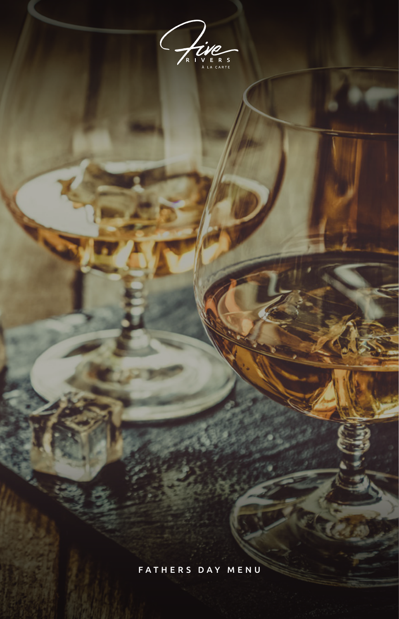